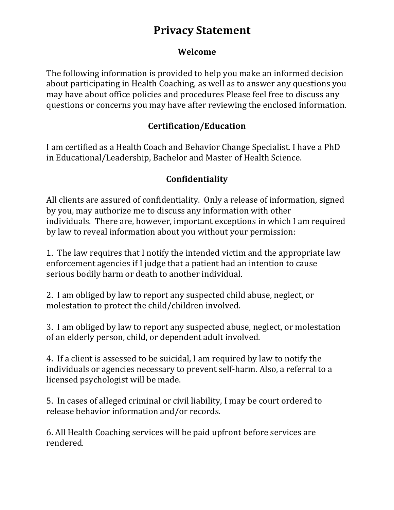## **Privacy Statement**

#### **Welcome**

The following information is provided to help you make an informed decision about participating in Health Coaching, as well as to answer any questions you may have about office policies and procedures Please feel free to discuss any questions or concerns you may have after reviewing the enclosed information.

#### **Certification/Education**

I am certified as a Health Coach and Behavior Change Specialist. I have a PhD in Educational/Leadership, Bachelor and Master of Health Science.

### **Confidentiality**

All clients are assured of confidentiality. Only a release of information, signed by you, may authorize me to discuss any information with other individuals. There are, however, important exceptions in which I am required by law to reveal information about you without your permission:

1. The law requires that I notify the intended victim and the appropriate law enforcement agencies if I judge that a patient had an intention to cause serious bodily harm or death to another individual.

2. I am obliged by law to report any suspected child abuse, neglect, or molestation to protect the child/children involved.

3. I am obliged by law to report any suspected abuse, neglect, or molestation of an elderly person, child, or dependent adult involved.

4. If a client is assessed to be suicidal, I am required by law to notify the individuals or agencies necessary to prevent self-harm. Also, a referral to a licensed psychologist will be made.

5. In cases of alleged criminal or civil liability, I may be court ordered to release behavior information and/or records.

6. All Health Coaching services will be paid upfront before services are rendered.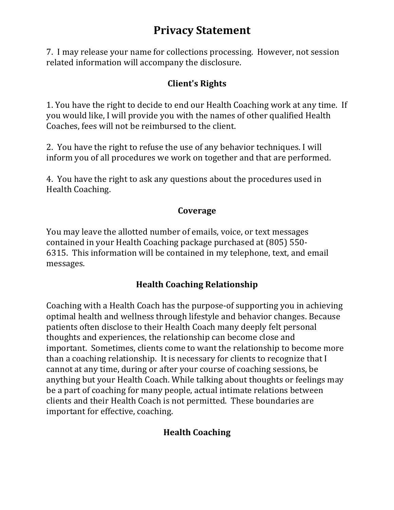## **Privacy Statement**

7. I may release your name for collections processing. However, not session related information will accompany the disclosure.

#### **Client's Rights**

1. You have the right to decide to end our Health Coaching work at any time. If you would like, I will provide you with the names of other qualified Health Coaches, fees will not be reimbursed to the client.

2. You have the right to refuse the use of any behavior techniques. I will inform you of all procedures we work on together and that are performed.

4. You have the right to ask any questions about the procedures used in Health Coaching.

#### **Coverage**

You may leave the allotted number of emails, voice, or text messages contained in your Health Coaching package purchased at (805) 550-6315. This information will be contained in my telephone, text, and email messages.

### **Health Coaching Relationship**

Coaching with a Health Coach has the purpose-of supporting you in achieving optimal health and wellness through lifestyle and behavior changes. Because patients often disclose to their Health Coach many deeply felt personal thoughts and experiences, the relationship can become close and important. Sometimes, clients come to want the relationship to become more than a coaching relationship. It is necessary for clients to recognize that I cannot at any time, during or after your course of coaching sessions, be anything but your Health Coach. While talking about thoughts or feelings may be a part of coaching for many people, actual intimate relations between clients and their Health Coach is not permitted. These boundaries are important for effective, coaching.

### **Health Coaching**